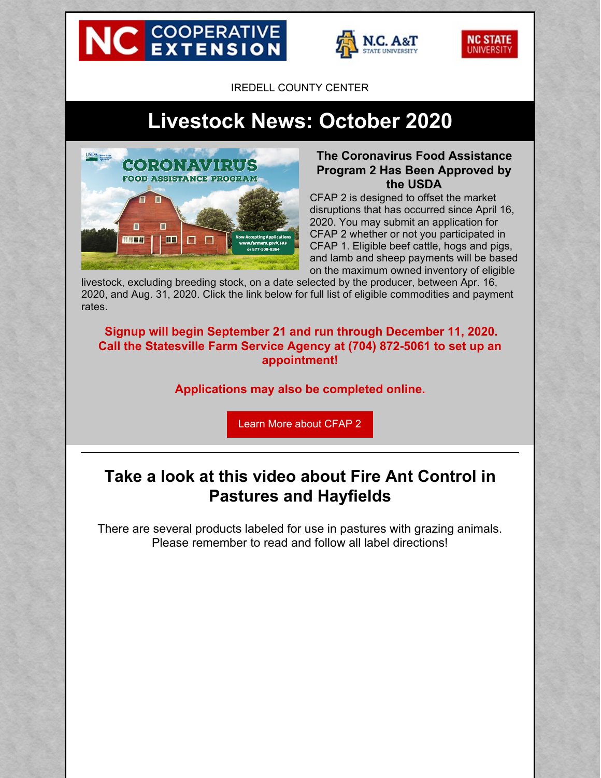# **NC EXTENSION**





IREDELL COUNTY CENTER

## **Livestock News: October 2020**



#### **The Coronavirus Food Assistance Program 2 Has Been Approved by the USDA**

CFAP 2 is designed to offset the market disruptions that has occurred since April 16, 2020. You may submit an application for CFAP 2 whether or not you participated in CFAP 1. Eligible beef cattle, hogs and pigs, and lamb and sheep payments will be based on the maximum owned inventory of eligible

livestock, excluding breeding stock, on a date selected by the producer, between Apr. 16, 2020, and Aug. 31, 2020. Click the link below for full list of eligible commodities and payment rates.

#### **Signup will begin September 21 and run through December 11, 2020. Call the Statesville Farm Service Agency at (704) 872-5061 to set up an appointment!**

**Applications may also be completed online.**

Learn More about [CFAP](http://farmers.gov/cfap) 2

## **Take a look at this video about Fire Ant Control in Pastures and Hayfields**

There are several products labeled for use in pastures with grazing animals. Please remember to read and follow all label directions!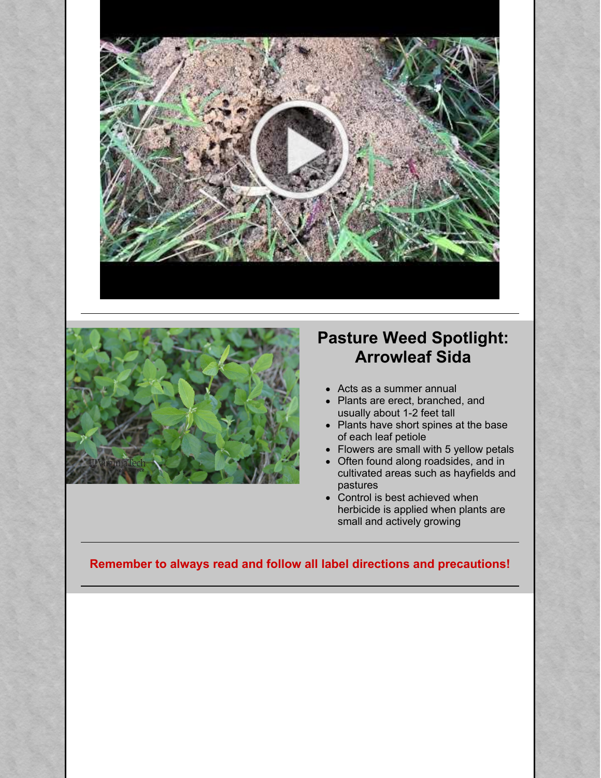



## **Pasture Weed Spotlight: Arrowleaf Sida**

- Acts as a summer annual
- Plants are erect, branched, and usually about 1-2 feet tall
- Plants have short spines at the base of each leaf petiole
- Flowers are small with 5 yellow petals
- Often found along roadsides, and in cultivated areas such as hayfields and pastures
- Control is best achieved when herbicide is applied when plants are small and actively growing

#### **Remember to always read and follow all label directions and precautions!**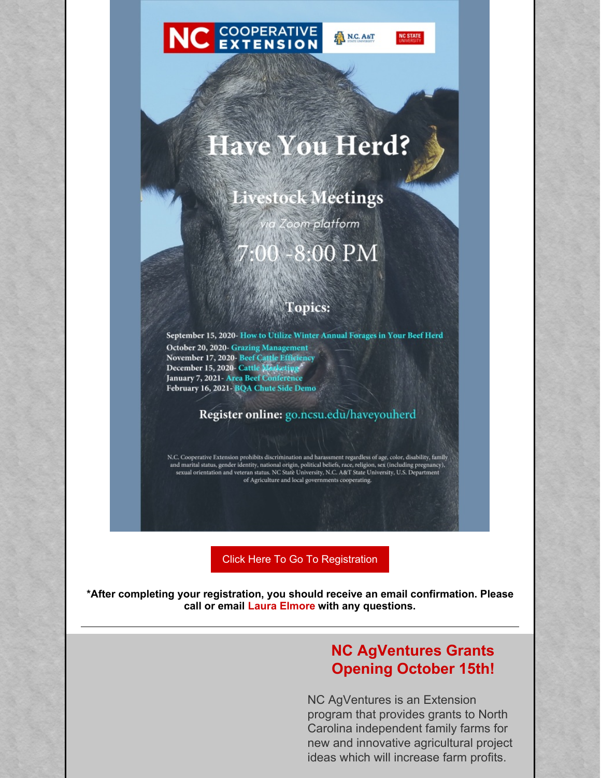



**ANC. A&T** 

## **Have You Herd?**

**Livestock Meetings** 

oom platform 8:00 PM

#### **Topics:**

September 15, 2020- How to Utilize Winter Annual Forages in Your Beef Herd October 20, 2020- Grazing Management November 17, 2020 Beef Cattle Efficiency<br>
December 15, 2020 Cattle Magic lines<br>
January 7, 2021 - Area Beef Conference February 16, 2021- BQA Chute Side Demo

#### Register online: go.ncsu.edu/haveyouherd

N.C. Cooperative Extension prohibits discrimination and harassment regardless of age, color, disability, family and marital status, gender identity, national origin, political beliefs, race, religion, sex (including pregn of Agriculture and local governments cooperating.

Click Here To Go To [Registration](http://go.ncsu.edu/haveyouherd)

**\*After completing your registration, you should receive an email confirmation. Please call or email Laura [Elmore](mailto:laelmore@ncsu.edu) with any questions.**

### **NC AgVentures Grants Opening October 15th!**

NC AgVentures is an Extension program that provides grants to North Carolina independent family farms for new and innovative agricultural project ideas which will increase farm profits.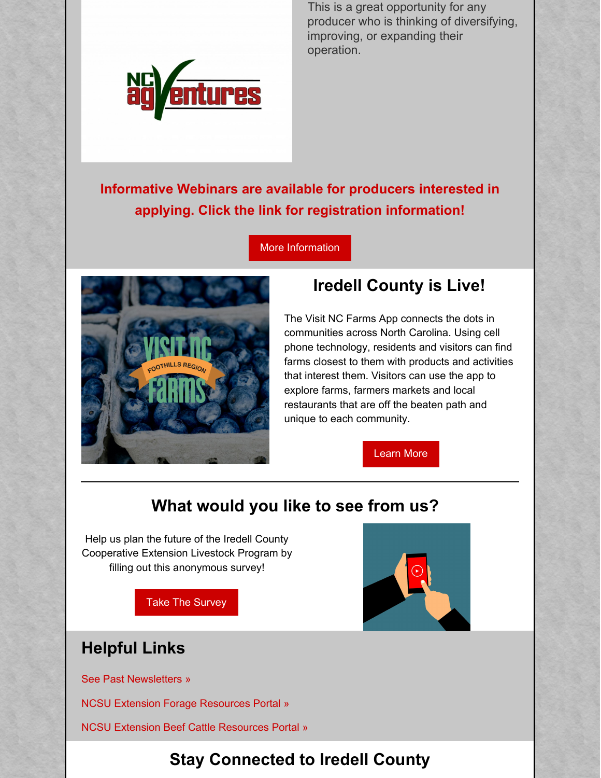

This is a great opportunity for any producer who is thinking of diversifying, improving, or expanding their operation.

## **Informative Webinars are available for producers interested in applying. Click the link for registration information!**

More [Information](https://agventures.ces.ncsu.edu/register-for-an-application-information-workshop/)



## **Iredell County is Live!**

The Visit NC Farms App connects the dots in communities across North Carolina. Using cell phone technology, residents and visitors can find farms closest to them with products and activities that interest them. Visitors can use the app to explore farms, farmers markets and local restaurants that are off the beaten path and unique to each community.



## **What would you like to see from us?**

Help us plan the future of the Iredell County Cooperative Extension Livestock Program by filling out this anonymous survey!

Take The [Survey](https://docs.google.com/forms/d/e/1FAIpQLScPH_Eq0JhXlWzGYm2rYc7GedQe3lctB7Fi-VB8orDTR-vb_g/viewform)

## **Helpful Links**

See Past [Newsletters](https://iredell.ces.ncsu.edu/iredell-countys-newsletters-archives/) »

NCSU Extension Forage [Resources](https://forages.ces.ncsu.edu/) Portal »

NCSU Extension Beef Cattle [Resources](https://beef.ces.ncsu.edu/) Portal »

## **Stay Connected to Iredell County**